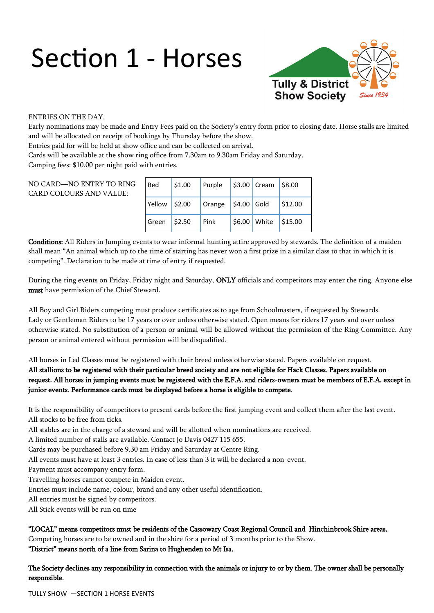# Section 1 - Horses



#### ENTRIES ON THE DAY.

Early nominations may be made and Entry Fees paid on the Society's entry form prior to closing date. Horse stalls are limited and will be allocated on receipt of bookings by Thursday before the show.

Entries paid for will be held at show office and can be collected on arrival.

Cards will be available at the show ring office from 7.30am to 9.30am Friday and Saturday.

Camping fees: \$10.00 per night paid with entries.

#### NO CARD—NO ENTRY TO RING CARD COLOURS AND VALUE:

| Red    | \$1.00 | Purple |              | $$3.00$ Cream | $ $ \$8.00 |
|--------|--------|--------|--------------|---------------|------------|
| Yellow | \$2.00 | Orange | $$4.00$ Gold |               | \$12.00    |
| Green  | \$2.50 | Pink   |              | \$6.00 White  | \$15.00    |

Conditions: All Riders in Jumping events to wear informal hunting attire approved by stewards. The definition of a maiden shall mean "An animal which up to the time of starting has never won a first prize in a similar class to that in which it is competing". Declaration to be made at time of entry if requested.

During the ring events on Friday, Friday night and Saturday, ONLY officials and competitors may enter the ring. Anyone else must have permission of the Chief Steward.

All Boy and Girl Riders competing must produce certificates as to age from Schoolmasters, if requested by Stewards. Lady or Gentleman Riders to be 17 years or over unless otherwise stated. Open means for riders 17 years and over unless otherwise stated. No substitution of a person or animal will be allowed without the permission of the Ring Committee. Any person or animal entered without permission will be disqualified.

All horses in Led Classes must be registered with their breed unless otherwise stated. Papers available on request. All stallions to be registered with their particular breed society and are not eligible for Hack Classes. Papers available on request. All horses in jumping events must be registered with the E.F.A. and riders-owners must be members of E.F.A. except in junior events. Performance cards must be displayed before a horse is eligible to compete.

It is the responsibility of competitors to present cards before the first jumping event and collect them after the last event. All stocks to be free from ticks.

All stables are in the charge of a steward and will be allotted when nominations are received.

A limited number of stalls are available. Contact Jo Davis 0427 115 655.

Cards may be purchased before 9.30 am Friday and Saturday at Centre Ring.

All events must have at least 3 entries. In case of less than 3 it will be declared a non-event.

Payment must accompany entry form.

Travelling horses cannot compete in Maiden event.

Entries must include name, colour, brand and any other useful identification.

All entries must be signed by competitors.

All Stick events will be run on time

#### "LOCAL" means competitors must be residents of the Cassowary Coast Regional Council and Hinchinbrook Shire areas.

Competing horses are to be owned and in the shire for a period of 3 months prior to the Show.

"District" means north of a line from Sarina to Hughenden to Mt Isa.

The Society declines any responsibility in connection with the animals or injury to or by them. The owner shall be personally responsible.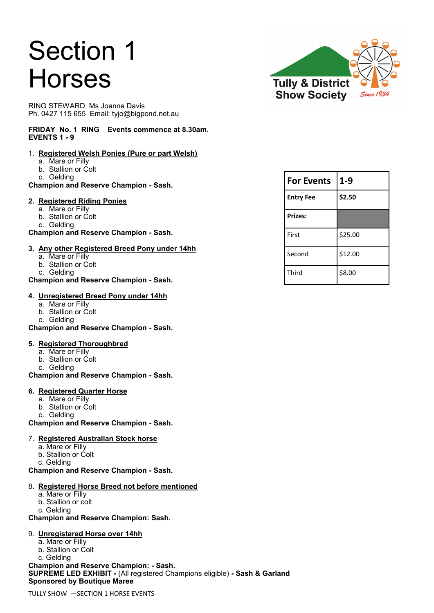# Section 1 Horses

RING STEWARD: Ms Joanne Davis Ph. 0427 115 655 Email: tyjo@bigpond.net.au

#### **FRIDAY No. 1 RING Events commence at 8.30am. EVENTS 1 - 9**

#### 1. **Registered Welsh Ponies (Pure or part Welsh)**

- a. Mare or Filly
- b. Stallion or Colt
- c. Gelding

**Champion and Reserve Champion - Sash.**

#### **2. Registered Riding Ponies**

- a. Mare or Filly
- b. Stallion or Colt
- c. Gelding

**Champion and Reserve Champion - Sash.**

#### **3. Any other Registered Breed Pony under 14hh**

- a. Mare or Filly
- b. Stallion or Colt
- c. Gelding

#### **Champion and Reserve Champion - Sash.**

#### **4. Unregistered Breed Pony under 14hh**

- a. Mare or Filly
- b. Stallion or Colt
- c. Gelding

**Champion and Reserve Champion - Sash.**

#### **5. Registered Thoroughbred**

- a. Mare or Filly
- b. Stallion or Colt
- c. Gelding

#### **Champion and Reserve Champion - Sash.**

#### **6. Registered Quarter Horse**

- a. Mare or Filly
- b. Stallion or Colt
- c. Gelding

**Champion and Reserve Champion - Sash.** 

#### 7. **Registered Australian Stock horse**

- a. Mare or Filly
- b. Stallion or Colt
- c. Gelding

#### **Champion and Reserve Champion - Sash.**

#### 8**. Registered Horse Breed not before mentioned**

- a. Mare or Filly
- b. Stallion or colt
- c. Gelding

**Champion and Reserve Champion: Sash.**

#### 9. **Unregistered Horse over 14hh**

- a. Mare or Filly
- b. Stallion or Colt
- c. Gelding

**Champion and Reserve Champion: - Sash. SUPREME LED EXHIBIT -** (All registered Champions eligible) **- Sash & Garland Sponsored by Boutique Maree**



| <b>For Events</b> | $1 - 9$ |  |  |
|-------------------|---------|--|--|
| <b>Entry Fee</b>  | \$2.50  |  |  |
| <b>Prizes:</b>    |         |  |  |
| First             | \$25.00 |  |  |
| Second            | \$12.00 |  |  |
| Third             | \$8.00  |  |  |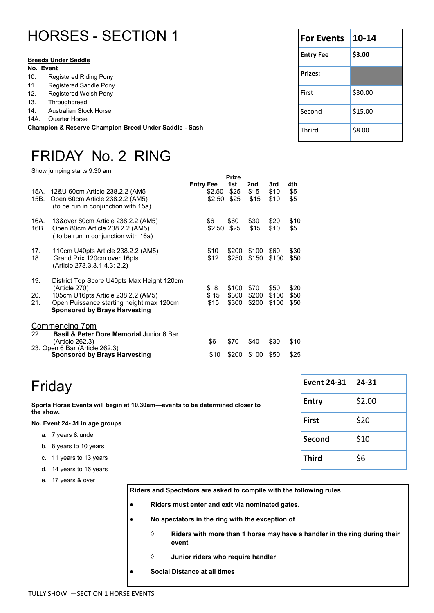|                                                       | <b>HORSES - SECTION 1</b>     | <b>For Events</b> | $10-14$ |
|-------------------------------------------------------|-------------------------------|-------------------|---------|
|                                                       | <b>Breeds Under Saddle</b>    | <b>Entry Fee</b>  | \$3.00  |
| No. Event                                             |                               | <b>Prizes:</b>    |         |
| 10.                                                   | <b>Registered Riding Pony</b> |                   |         |
| <b>Registered Saddle Pony</b><br>11.                  |                               |                   |         |
| Registered Welsh Pony<br>12.                          |                               | First             | \$30.00 |
| 13.<br>Throughbreed                                   |                               |                   |         |
| 14.                                                   | <b>Australian Stock Horse</b> | Second            | \$15.00 |
| 14A.                                                  | Quarter Horse                 |                   |         |
| Champion & Reserve Champion Breed Under Saddle - Sash |                               | Thrird            | \$8.00  |

## FRIDAY No. 2 RING

Show jumping starts 9.30 am

|              |                                                                                                              |                  |                  | Prize               |                     |                     |                   |
|--------------|--------------------------------------------------------------------------------------------------------------|------------------|------------------|---------------------|---------------------|---------------------|-------------------|
| 15A.<br>15B. | 12&U 60cm Article 238.2.2 (AM5<br>Open 60cm Article 238.2.2 (AM5)<br>(to be run in conjunction with 15a)     | <b>Entry Fee</b> | \$2.50<br>\$2.50 | 1st<br>\$25<br>\$25 | 2nd<br>\$15<br>\$15 | 3rd<br>\$10<br>\$10 | 4th<br>\$5<br>\$5 |
| 16A.<br>16B. | 13&over 80cm Article 238.2.2 (AM5)<br>Open 80cm Article 238.2.2 (AM5)<br>(to be run in conjunction with 16a) |                  | \$6<br>\$2.50    | \$60<br>\$25        | \$30<br>\$15        | \$20<br>\$10        | \$10<br>\$5       |
| 17.<br>18.   | 110cm U40pts Article 238.2.2 (AM5)<br>Grand Prix 120cm over 16pts<br>(Article 273.3.3.1;4.3; 2.2)            |                  | \$10<br>\$12     | \$200<br>\$250      | \$100<br>\$150      | \$60<br>\$100       | \$30<br>\$50      |
| 19.<br>20.   | District Top Score U40pts Max Height 120cm<br>(Article 270)<br>105cm U16pts Article 238.2.2 (AM5)            |                  | \$<br>8<br>\$15  | \$100<br>\$300      | \$70<br>\$200       | \$50<br>\$100       | \$20<br>\$50      |
| 21.          | Open Puissance starting height max 120cm<br><b>Sponsored by Brays Harvesting</b>                             |                  | \$15             | \$300               | \$200               | \$100               | \$50              |
|              | <b>Commencing 7pm</b>                                                                                        |                  |                  |                     |                     |                     |                   |
| 22.          | <b>Basil &amp; Peter Dore Memorial Junior 6 Bar</b><br>(Article 262.3)                                       |                  | \$6              | \$70                | \$40                | \$30                | \$10              |
|              | 23. Open 6 Bar (Article 262.3)<br><b>Sponsored by Brays Harvesting</b>                                       |                  | \$10             | \$200               | \$100               | \$50                | \$25              |

| Friday |
|--------|
|--------|

**Sports Horse Events will begin at 10.30am—events to be determined closer to the show.**

#### **No. Event 24- 31 in age groups**

- a. 7 years & under
- b. 8 years to 10 years
- c. 11 years to 13 years
- d. 14 years to 16 years
- e. 17 years & over

**Riders and Spectators are asked to compile with the following rules** 

- **Riders must enter and exit via nominated gates.**
- **No spectators in the ring with the exception of** 
	- **Riders with more than 1 horse may have a handler in the ring during their event**

**Event 24-31 24-31**

**Entry**  $\vert$ \$2.00

First  $\vert$ \$20

**Second** \$10

 $\frac{1}{56}$ 

- **Junior riders who require handler**
- **Social Distance at all times**